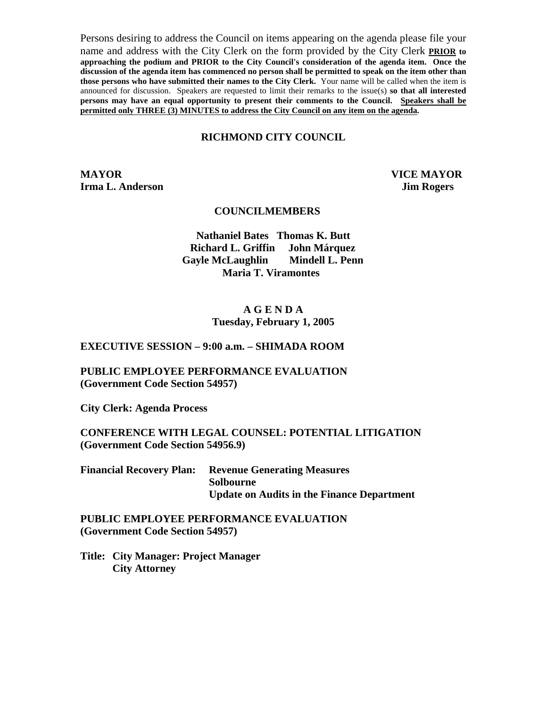Persons desiring to address the Council on items appearing on the agenda please file your name and address with the City Clerk on the form provided by the City Clerk **PRIOR to approaching the podium and PRIOR to the City Council's consideration of the agenda item. Once the discussion of the agenda item has commenced no person shall be permitted to speak on the item other than those persons who have submitted their names to the City Clerk.** Your name will be called when the item is announced for discussion. Speakers are requested to limit their remarks to the issue(s) **so that all interested persons may have an equal opportunity to present their comments to the Council. Speakers shall be permitted only THREE (3) MINUTES to address the City Council on any item on the agenda.**

#### **RICHMOND CITY COUNCIL**

**MAYOR VICE MAYOR Irma L. Anderson Jim Rogers** 

#### **COUNCILMEMBERS**

**Nathaniel Bates Thomas K. Butt Richard L. Griffin John Márquez Gayle McLaughlin Mindell L. Penn Maria T. Viramontes** 

#### **A G E N D A Tuesday, February 1, 2005**

#### **EXECUTIVE SESSION – 9:00 a.m. – SHIMADA ROOM**

#### **PUBLIC EMPLOYEE PERFORMANCE EVALUATION (Government Code Section 54957)**

**City Clerk: Agenda Process** 

#### **CONFERENCE WITH LEGAL COUNSEL: POTENTIAL LITIGATION (Government Code Section 54956.9)**

**Financial Recovery Plan: Revenue Generating Measures Solbourne Update on Audits in the Finance Department** 

#### **PUBLIC EMPLOYEE PERFORMANCE EVALUATION (Government Code Section 54957)**

**Title: City Manager: Project Manager City Attorney**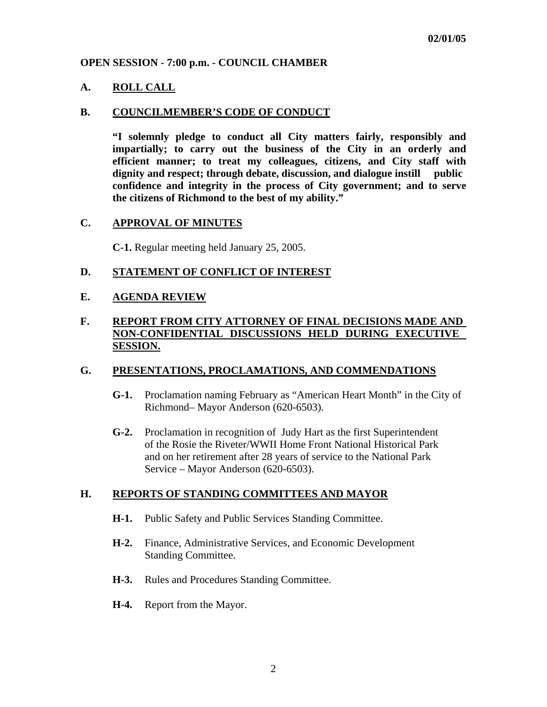## **OPEN SESSION - 7:00 p.m. - COUNCIL CHAMBER**

## **A. ROLL CALL**

#### **B. COUNCILMEMBER'S CODE OF CONDUCT**

 **"I solemnly pledge to conduct all City matters fairly, responsibly and impartially; to carry out the business of the City in an orderly and efficient manner; to treat my colleagues, citizens, and City staff with dignity and respect; through debate, discussion, and dialogue instill public confidence and integrity in the process of City government; and to serve the citizens of Richmond to the best of my ability."** 

## **C. APPROVAL OF MINUTES**

**C-1.** Regular meeting held January 25, 2005.

## **D. STATEMENT OF CONFLICT OF INTEREST**

## **E. AGENDA REVIEW**

# **F. REPORT FROM CITY ATTORNEY OF FINAL DECISIONS MADE AND NON-CONFIDENTIAL DISCUSSIONS HELD DURING EXECUTIVE SESSION.**

## **G. PRESENTATIONS, PROCLAMATIONS, AND COMMENDATIONS**

- **G-1.** Proclamation naming February as "American Heart Month" in the City of Richmond– Mayor Anderson (620-6503).
- **G-2.** Proclamation in recognition of Judy Hart as the first Superintendent of the Rosie the Riveter/WWII Home Front National Historical Park and on her retirement after 28 years of service to the National Park Service – Mayor Anderson (620-6503).

## **H. REPORTS OF STANDING COMMITTEES AND MAYOR**

- **H-1.** Public Safety and Public Services Standing Committee.
- **H-2.** Finance, Administrative Services, and Economic Development Standing Committee.
- **H-3.** Rules and Procedures Standing Committee.
- **H-4.** Report from the Mayor.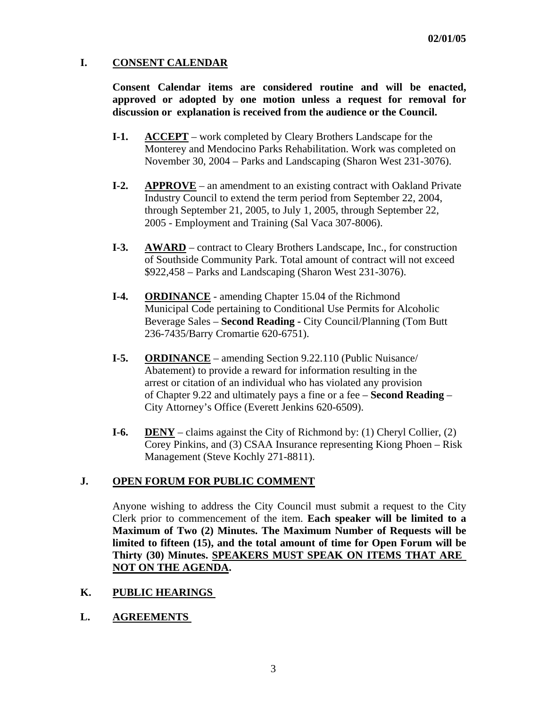# **I. CONSENT CALENDAR**

 **Consent Calendar items are considered routine and will be enacted, approved or adopted by one motion unless a request for removal for discussion or explanation is received from the audience or the Council.** 

- **I-1. ACCEPT** work completed by Cleary Brothers Landscape for the Monterey and Mendocino Parks Rehabilitation. Work was completed on November 30, 2004 – Parks and Landscaping (Sharon West 231-3076).
- **I-2.** APPROVE an amendment to an existing contract with Oakland Private Industry Council to extend the term period from September 22, 2004, through September 21, 2005, to July 1, 2005, through September 22, 2005 - Employment and Training (Sal Vaca 307-8006).
- **I-3. AWARD** contract to Cleary Brothers Landscape, Inc., for construction of Southside Community Park. Total amount of contract will not exceed \$922,458 – Parks and Landscaping (Sharon West 231-3076).
- **I-4. ORDINANCE** amending Chapter 15.04 of the Richmond Municipal Code pertaining to Conditional Use Permits for Alcoholic Beverage Sales – **Second Reading -** City Council/Planning (Tom Butt 236-7435/Barry Cromartie 620-6751).
- **I-5. ORDINANCE** amending Section 9.22.110 (Public Nuisance/ Abatement) to provide a reward for information resulting in the arrest or citation of an individual who has violated any provision of Chapter 9.22 and ultimately pays a fine or a fee – **Second Reading** – City Attorney's Office (Everett Jenkins 620-6509).
- **I-6. DENY** claims against the City of Richmond by: (1) Cheryl Collier, (2) Corey Pinkins, and (3) CSAA Insurance representing Kiong Phoen – Risk Management (Steve Kochly 271-8811).

# **J. OPEN FORUM FOR PUBLIC COMMENT**

Anyone wishing to address the City Council must submit a request to the City Clerk prior to commencement of the item. **Each speaker will be limited to a Maximum of Two (2) Minutes. The Maximum Number of Requests will be limited to fifteen (15), and the total amount of time for Open Forum will be Thirty (30) Minutes. SPEAKERS MUST SPEAK ON ITEMS THAT ARE NOT ON THE AGENDA.** 

# **K. PUBLIC HEARINGS**

**L. AGREEMENTS**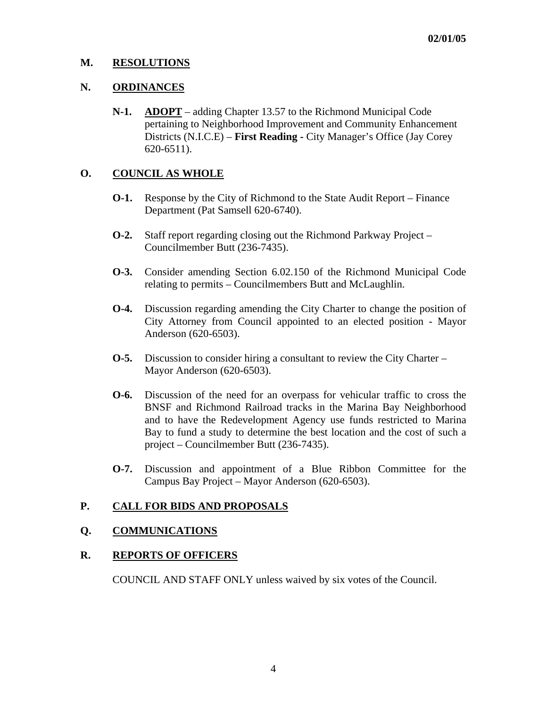# **M. RESOLUTIONS**

## **N. ORDINANCES**

 **N-1. ADOPT** – adding Chapter 13.57 to the Richmond Municipal Code pertaining to Neighborhood Improvement and Community Enhancement Districts (N.I.C.E) – **First Reading -** City Manager's Office (Jay Corey 620-6511).

## **O. COUNCIL AS WHOLE**

- **O-1.** Response by the City of Richmond to the State Audit Report Finance Department (Pat Samsell 620-6740).
- **O-2.** Staff report regarding closing out the Richmond Parkway Project Councilmember Butt (236-7435).
- **O-3.** Consider amending Section 6.02.150 of the Richmond Municipal Code relating to permits – Councilmembers Butt and McLaughlin.
- **O-4.** Discussion regarding amending the City Charter to change the position of City Attorney from Council appointed to an elected position - Mayor Anderson (620-6503).
- **O-5.** Discussion to consider hiring a consultant to review the City Charter Mayor Anderson (620-6503).
- **O-6.** Discussion of the need for an overpass for vehicular traffic to cross the BNSF and Richmond Railroad tracks in the Marina Bay Neighborhood and to have the Redevelopment Agency use funds restricted to Marina Bay to fund a study to determine the best location and the cost of such a project – Councilmember Butt (236-7435).
- **O-7.** Discussion and appointment of a Blue Ribbon Committee for the Campus Bay Project – Mayor Anderson (620-6503).

# **P. CALL FOR BIDS AND PROPOSALS**

## **Q. COMMUNICATIONS**

## **R. REPORTS OF OFFICERS**

COUNCIL AND STAFF ONLY unless waived by six votes of the Council.